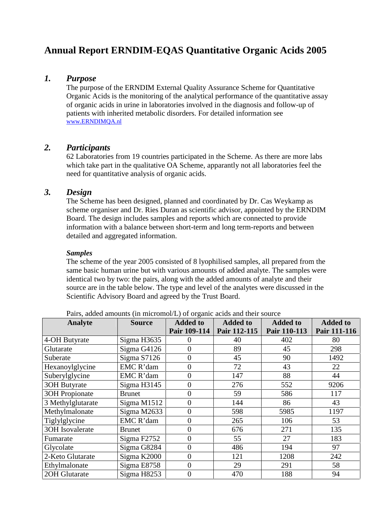# **Annual Report ERNDIM-EQAS Quantitative Organic Acids 2005**

# *1. Purpose*

The purpose of the ERNDIM External Quality Assurance Scheme for Quantitative Organic Acids is the monitoring of the analytical performance of the quantitative assay of organic acids in urine in laboratories involved in the diagnosis and follow-up of patients with inherited metabolic disorders. For detailed information see www.ERNDIMQA.nl

# *2. Participants*

62 Laboratories from 19 countries participated in the Scheme. As there are more labs which take part in the qualitative OA Scheme, apparantly not all laboratories feel the need for quantitative analysis of organic acids.

# *3. Design*

The Scheme has been designed, planned and coordinated by Dr. Cas Weykamp as scheme organiser and Dr. Ries Duran as scientific advisor, appointed by the ERNDIM Board. The design includes samples and reports which are connected to provide information with a balance between short-term and long term-reports and between detailed and aggregated information.

#### *Samples*

The scheme of the year 2005 consisted of 8 lyophilised samples, all prepared from the same basic human urine but with various amounts of added analyte. The samples were identical two by two: the pairs, along with the added amounts of analyte and their source are in the table below. The type and level of the analytes were discussed in the Scientific Advisory Board and agreed by the Trust Board.

| Analyte                | <b>Source</b> | <b>Added to</b>  | <b>Added to</b> | <b>Added to</b> | <b>Added to</b> |
|------------------------|---------------|------------------|-----------------|-----------------|-----------------|
|                        |               | Pair 109-114     | Pair 112-115    | Pair 110-113    | Pair 111-116    |
| 4-OH Butyrate          | Sigma H3635   | 0                | 40              | 402             | 80              |
| Glutarate              | Sigma G4126   | $\overline{0}$   | 89              | 45              | 298             |
| Suberate               | Sigma S7126   | $\overline{0}$   | 45              | 90              | 1492            |
| Hexanoylglycine        | EMC R'dam     | $\overline{0}$   | 72              | 43              | 22              |
| Suberylglycine         | EMC R'dam     | $\boldsymbol{0}$ | 147             | 88              | 44              |
| <b>3OH Butyrate</b>    | Sigma H3145   | $\boldsymbol{0}$ | 276             | 552             | 9206            |
| <b>3OH Propionate</b>  | <b>Brunet</b> | $\overline{0}$   | 59              | 586             | 117             |
| 3 Methylglutarate      | Sigma M1512   | $\overline{0}$   | 144             | 86              | 43              |
| Methylmalonate         | Sigma M2633   | $\overline{0}$   | 598             | 5985            | 1197            |
| Tiglylglycine          | EMC R'dam     | $\overline{0}$   | 265             | 106             | 53              |
| <b>3OH</b> Isovalerate | <b>Brunet</b> | $\overline{0}$   | 676             | 271             | 135             |
| Fumarate               | Sigma F2752   | $\overline{0}$   | 55              | 27              | 183             |
| Glycolate              | Sigma G8284   | $\overline{0}$   | 486             | 194             | 97              |
| 2-Keto Glutarate       | Sigma K2000   | $\overline{0}$   | 121             | 1208            | 242             |
| Ethylmalonate          | Sigma E8758   | $\overline{0}$   | 29              | 291             | 58              |
| 20H Glutarate          | Sigma H8253   | $\overline{0}$   | 470             | 188             | 94              |

Pairs, added amounts (in micromol/L) of organic acids and their source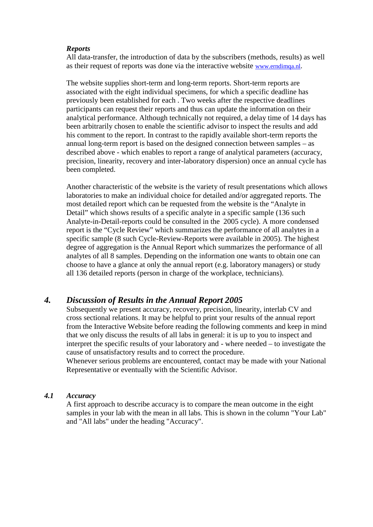#### *Reports*

All data-transfer, the introduction of data by the subscribers (methods, results) as well as their request of reports was done via the interactive website www.erndimqa.nl.

The website supplies short-term and long-term reports. Short-term reports are associated with the eight individual specimens, for which a specific deadline has previously been established for each . Two weeks after the respective deadlines participants can request their reports and thus can update the information on their analytical performance. Although technically not required, a delay time of 14 days has been arbitrarily chosen to enable the scientific advisor to inspect the results and add his comment to the report. In contrast to the rapidly available short-term reports the annual long-term report is based on the designed connection between samples – as described above - which enables to report a range of analytical parameters (accuracy, precision, linearity, recovery and inter-laboratory dispersion) once an annual cycle has been completed.

Another characteristic of the website is the variety of result presentations which allows laboratories to make an individual choice for detailed and/or aggregated reports. The most detailed report which can be requested from the website is the "Analyte in Detail" which shows results of a specific analyte in a specific sample (136 such Analyte-in-Detail-reports could be consulted in the 2005 cycle). A more condensed report is the "Cycle Review" which summarizes the performance of all analytes in a specific sample (8 such Cycle-Review-Reports were available in 2005). The highest degree of aggregation is the Annual Report which summarizes the performance of all analytes of all 8 samples. Depending on the information one wants to obtain one can choose to have a glance at only the annual report (e.g. laboratory managers) or study all 136 detailed reports (person in charge of the workplace, technicians).

# *4. Discussion of Results in the Annual Report 2005*

Subsequently we present accuracy, recovery, precision, linearity, interlab CV and cross sectional relations. It may be helpful to print your results of the annual report from the Interactive Website before reading the following comments and keep in mind that we only discuss the results of all labs in general: it is up to you to inspect and interpret the specific results of your laboratory and - where needed – to investigate the cause of unsatisfactory results and to correct the procedure.

Whenever serious problems are encountered, contact may be made with your National Representative or eventually with the Scientific Advisor.

### *4.1 Accuracy*

A first approach to describe accuracy is to compare the mean outcome in the eight samples in your lab with the mean in all labs. This is shown in the column "Your Lab" and "All labs" under the heading "Accuracy".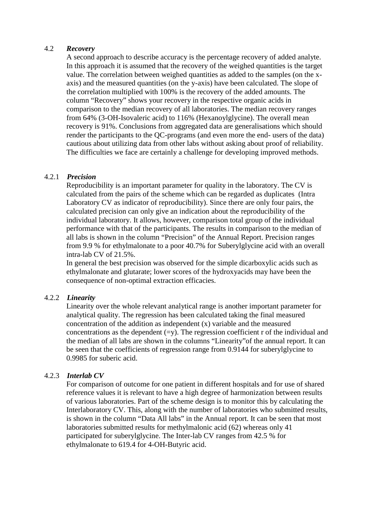#### 4.2 *Recovery*

A second approach to describe accuracy is the percentage recovery of added analyte. In this approach it is assumed that the recovery of the weighed quantities is the target value. The correlation between weighed quantities as added to the samples (on the x axis) and the measured quantities (on the y-axis) have been calculated. The slope of the correlation multiplied with 100% is the recovery of the added amounts. The column "Recovery" shows your recovery in the respective organic acids in comparison to the median recovery of all laboratories. The median recovery ranges from 64% (3-OH-Isovaleric acid) to 116% (Hexanoylglycine). The overall mean recovery is 91%. Conclusions from aggregated data are generalisations which should render the participants to the QC-programs (and even more the end- users of the data) cautious about utilizing data from other labs without asking about proof of reliability. The difficulties we face are certainly a challenge for developing improved methods.

#### 4.2.1 *Precision*

Reproducibility is an important parameter for quality in the laboratory. The CV is calculated from the pairs of the scheme which can be regarded as duplicates (Intra Laboratory CV as indicator of reproducibility). Since there are only four pairs, the calculated precision can only give an indication about the reproducibility of the individual laboratory. It allows, however, comparison total group of the individual performance with that of the participants. The results in comparison to the median of all labs is shown in the column "Precision" of the Annual Report. Precision ranges from 9.9 % for ethylmalonate to a poor 40.7% for Suberylglycine acid with an overall intra-lab CV of 21.5%.

In general the best precision was observed for the simple dicarboxylic acids such as ethylmalonate and glutarate; lower scores of the hydroxyacids may have been the consequence of non-optimal extraction efficacies.

#### 4.2.2 *Linearity*

Linearity over the whole relevant analytical range is another important parameter for analytical quality. The regression has been calculated taking the final measured concentration of the addition as independent (x) variable and the measured concentrations as the dependent  $(=v)$ . The regression coefficient r of the individual and the median of all labs are shown in the columns "Linearity"of the annual report. It can be seen that the coefficients of regression range from 0.9144 for suberylglycine to 0.9985 for suberic acid.

#### 4.2.3 *Interlab CV*

For comparison of outcome for one patient in different hospitals and for use of shared reference values it is relevant to have a high degree of harmonization between results of various laboratories. Part of the scheme design is to monitor this by calculating the Interlaboratory CV. This, along with the number of laboratories who submitted results, is shown in the column "Data All labs" in the Annual report. It can be seen that most laboratories submitted results for methylmalonic acid (62) whereas only 41 participated for suberylglycine. The Inter-lab CV ranges from 42.5% for ethylmalonate to 619.4 for 4-OH-Butyric acid.